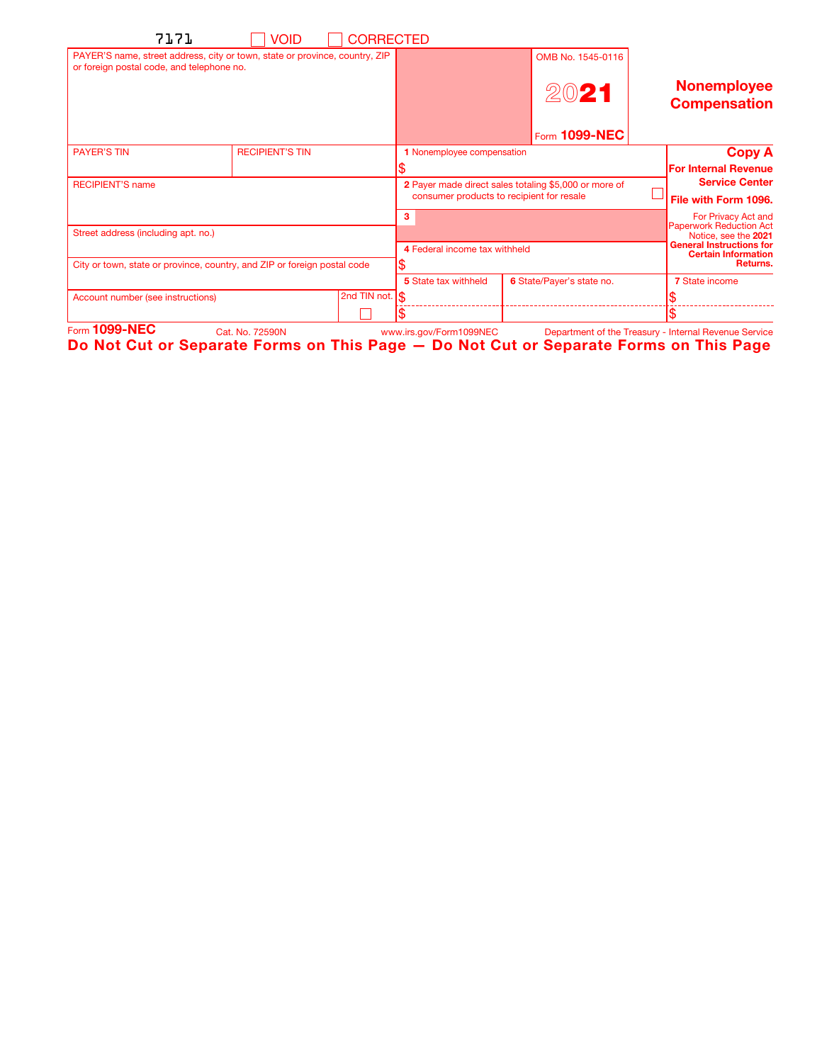| 7171                                                                                                                     | <b>VOID</b>            | <b>CORRECTED</b>                                                                                   |                               |                                           |                                                               |
|--------------------------------------------------------------------------------------------------------------------------|------------------------|----------------------------------------------------------------------------------------------------|-------------------------------|-------------------------------------------|---------------------------------------------------------------|
| PAYER'S name, street address, city or town, state or province, country, ZIP<br>or foreign postal code, and telephone no. |                        |                                                                                                    |                               | OMB No. 1545-0116                         |                                                               |
|                                                                                                                          |                        |                                                                                                    | 2021                          | <b>Nonemployee</b><br><b>Compensation</b> |                                                               |
|                                                                                                                          |                        |                                                                                                    |                               | Form 1099-NEC                             |                                                               |
| <b>PAYER'S TIN</b>                                                                                                       | <b>RECIPIENT'S TIN</b> |                                                                                                    | 1 Nonemployee compensation    |                                           | <b>Copy A</b>                                                 |
|                                                                                                                          |                        |                                                                                                    |                               |                                           | <b>For Internal Revenue</b>                                   |
| <b>RECIPIENT'S name</b>                                                                                                  |                        | 2 Payer made direct sales totaling \$5,000 or more of<br>consumer products to recipient for resale |                               | <b>Service Center</b>                     |                                                               |
|                                                                                                                          |                        |                                                                                                    |                               | File with Form 1096.                      |                                                               |
|                                                                                                                          |                        |                                                                                                    | 3                             |                                           | For Privacy Act and<br>Paperwork Reduction Act                |
| Street address (including apt. no.)                                                                                      |                        |                                                                                                    |                               | Notice, see the 2021                      |                                                               |
|                                                                                                                          |                        |                                                                                                    | 4 Federal income tax withheld |                                           | <b>General Instructions for</b><br><b>Certain Information</b> |
| City or town, state or province, country, and ZIP or foreign postal code                                                 |                        |                                                                                                    |                               | Returns.                                  |                                                               |
|                                                                                                                          |                        |                                                                                                    | 5 State tax withheld          | 6 State/Payer's state no.                 | <b>7 State income</b>                                         |
| Account number (see instructions)                                                                                        |                        | $2nd$ TIN not. $\$\$                                                                               |                               |                                           |                                                               |
|                                                                                                                          |                        |                                                                                                    |                               |                                           |                                                               |

Cat. No. 72590N Department of the Treasury - Internal Revenue Service Form 1099-NEC Cat. No. 72590N www.irs.gov/Form1099NEC Do Not Cut or Separate Forms on This Page — Do Not Cut or Separate Forms on This Page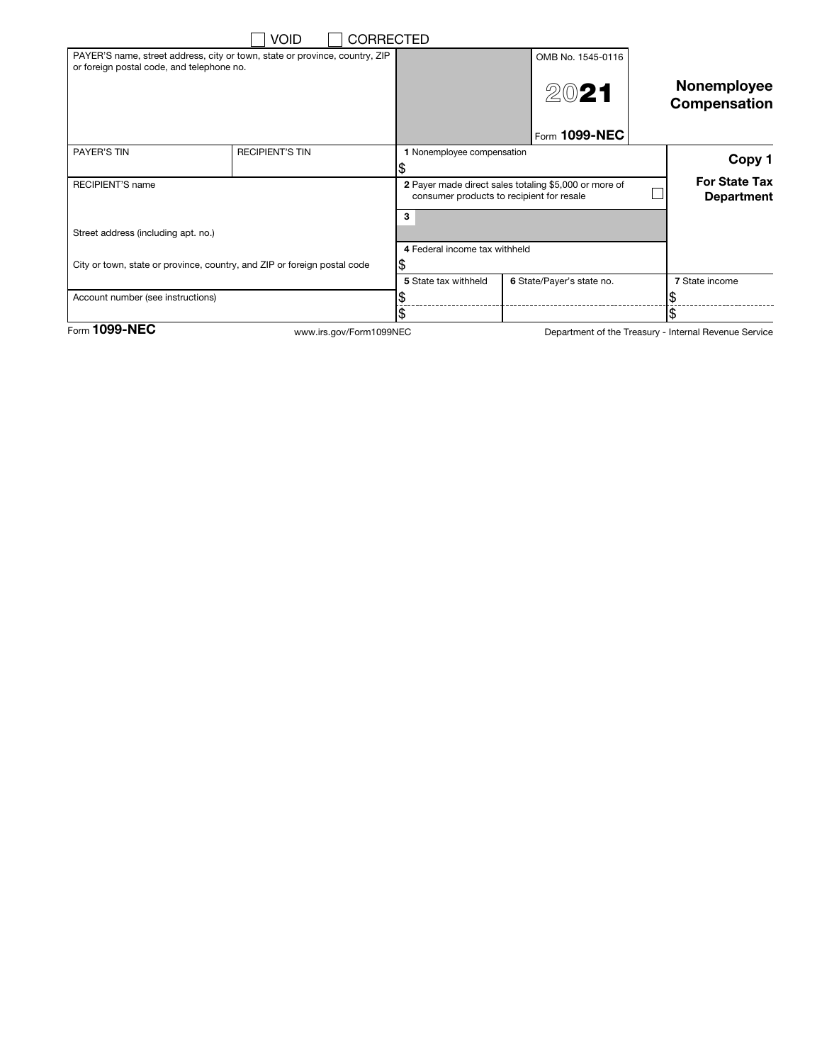|                                                                                                                          | <b>VOID</b>             | <b>CORRECTED</b>              |                                                                                                    |                                                       |
|--------------------------------------------------------------------------------------------------------------------------|-------------------------|-------------------------------|----------------------------------------------------------------------------------------------------|-------------------------------------------------------|
| PAYER'S name, street address, city or town, state or province, country, ZIP<br>or foreign postal code, and telephone no. |                         |                               | OMB No. 1545-0116<br>2021                                                                          | Nonemployee<br>Compensation                           |
|                                                                                                                          |                         |                               | Form 1099-NEC                                                                                      |                                                       |
| PAYER'S TIN                                                                                                              | <b>RECIPIENT'S TIN</b>  | 1 Nonemployee compensation    |                                                                                                    | Copy 1                                                |
| <b>RECIPIENT'S name</b><br>Street address (including apt. no.)                                                           |                         |                               | 2 Payer made direct sales totaling \$5,000 or more of<br>consumer products to recipient for resale | <b>For State Tax</b><br><b>Department</b>             |
|                                                                                                                          |                         | 3                             |                                                                                                    |                                                       |
|                                                                                                                          |                         | 4 Federal income tax withheld |                                                                                                    |                                                       |
| City or town, state or province, country, and ZIP or foreign postal code                                                 |                         |                               |                                                                                                    |                                                       |
|                                                                                                                          |                         | 5 State tax withheld          | 6 State/Payer's state no.                                                                          | 7 State income                                        |
| Account number (see instructions)                                                                                        |                         |                               |                                                                                                    |                                                       |
| Form 1099-NEC                                                                                                            | www.irs.gov/Form1099NEC |                               |                                                                                                    | Department of the Treasury - Internal Revenue Service |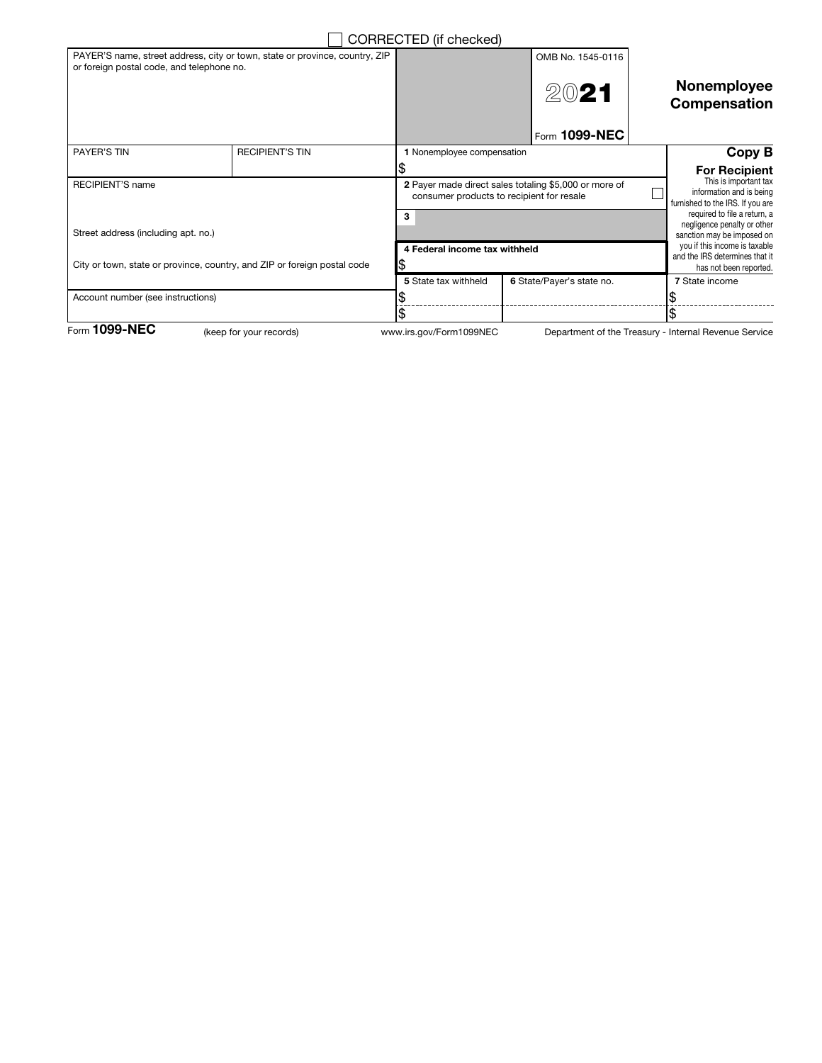|                                                                                                                                            |                         | CORRECTED (if checked)                                                                             |                                                                                           |                                                                                       |
|--------------------------------------------------------------------------------------------------------------------------------------------|-------------------------|----------------------------------------------------------------------------------------------------|-------------------------------------------------------------------------------------------|---------------------------------------------------------------------------------------|
| PAYER'S name, street address, city or town, state or province, country, ZIP<br>or foreign postal code, and telephone no.                   |                         |                                                                                                    | OMB No. 1545-0116<br>2021                                                                 | Nonemployee<br>Compensation                                                           |
|                                                                                                                                            |                         |                                                                                                    | Form 1099-NEC                                                                             |                                                                                       |
| PAYER'S TIN                                                                                                                                | <b>RECIPIENT'S TIN</b>  | 1 Nonemployee compensation                                                                         |                                                                                           | Copy B                                                                                |
|                                                                                                                                            |                         |                                                                                                    |                                                                                           | <b>For Recipient</b>                                                                  |
| <b>RECIPIENT'S name</b><br>Street address (including apt. no.)<br>City or town, state or province, country, and ZIP or foreign postal code |                         | 2 Payer made direct sales totaling \$5,000 or more of<br>consumer products to recipient for resale |                                                                                           | This is important tax<br>information and is being<br>furnished to the IRS. If you are |
|                                                                                                                                            |                         | 3                                                                                                  | required to file a return, a<br>negligence penalty or other<br>sanction may be imposed on |                                                                                       |
|                                                                                                                                            |                         | 4 Federal income tax withheld                                                                      | you if this income is taxable<br>and the IRS determines that it<br>has not been reported. |                                                                                       |
|                                                                                                                                            |                         | 5 State tax withheld                                                                               | 6 State/Payer's state no.                                                                 | 7 State income                                                                        |
| Account number (see instructions)                                                                                                          |                         |                                                                                                    |                                                                                           |                                                                                       |
|                                                                                                                                            |                         |                                                                                                    |                                                                                           |                                                                                       |
| Form $1099 - NEC$                                                                                                                          | (keep for your records) | www.irs.gov/Form1099NEC                                                                            |                                                                                           | Department of the Treasury - Internal Revenue Service                                 |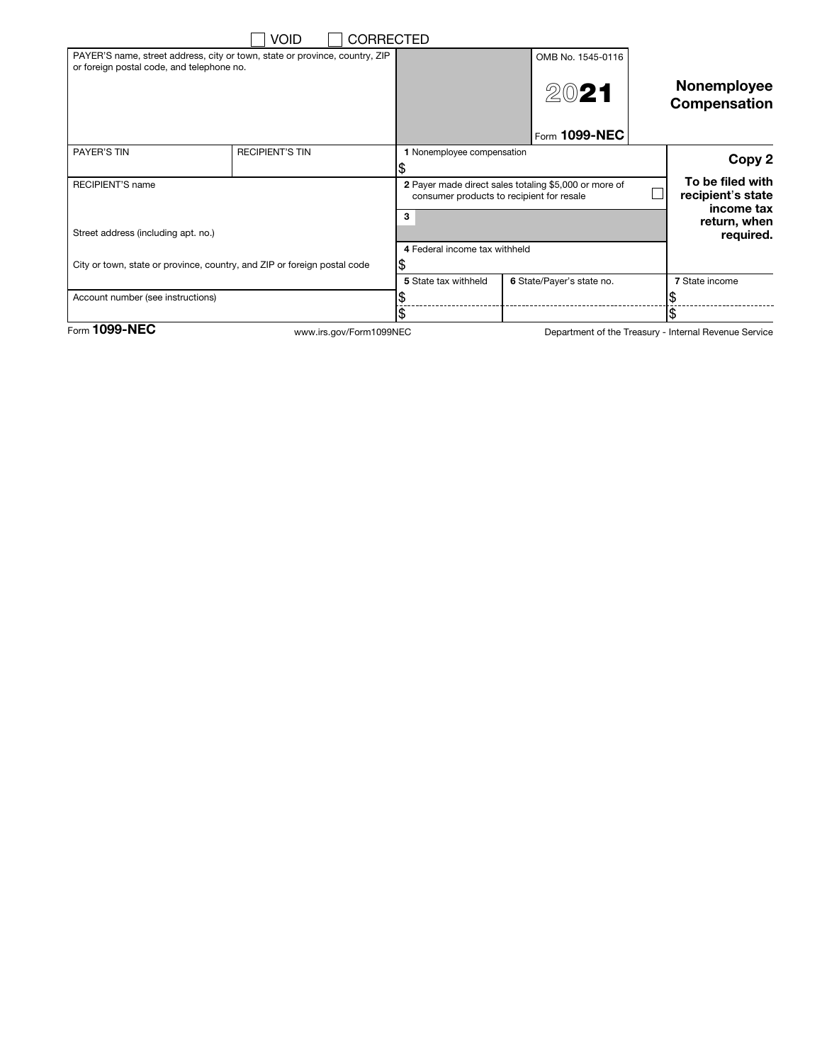|                                                                                                                          | Void<br>CORRECTED      |                               |                                                                                                    |  |                                                     |
|--------------------------------------------------------------------------------------------------------------------------|------------------------|-------------------------------|----------------------------------------------------------------------------------------------------|--|-----------------------------------------------------|
| PAYER'S name, street address, city or town, state or province, country, ZIP<br>or foreign postal code, and telephone no. |                        |                               | OMB No. 1545-0116<br>2021                                                                          |  | Nonemployee<br>Compensation                         |
|                                                                                                                          |                        |                               | Form 1099-NEC                                                                                      |  |                                                     |
| <b>PAYER'S TIN</b>                                                                                                       | <b>RECIPIENT'S TIN</b> | 1 Nonemployee compensation    |                                                                                                    |  | Copy 2                                              |
|                                                                                                                          |                        |                               |                                                                                                    |  |                                                     |
| <b>RECIPIENT'S name</b>                                                                                                  |                        |                               | 2 Payer made direct sales totaling \$5,000 or more of<br>consumer products to recipient for resale |  | To be filed with<br>recipient's state<br>income tax |
|                                                                                                                          |                        | 3                             |                                                                                                    |  | return, when                                        |
| Street address (including apt. no.)                                                                                      |                        |                               |                                                                                                    |  | required.                                           |
|                                                                                                                          |                        | 4 Federal income tax withheld |                                                                                                    |  |                                                     |
| City or town, state or province, country, and ZIP or foreign postal code                                                 |                        |                               |                                                                                                    |  |                                                     |
|                                                                                                                          |                        | 5 State tax withheld          | 6 State/Payer's state no.                                                                          |  | <b>7</b> State income                               |
| Account number (see instructions)                                                                                        |                        |                               |                                                                                                    |  |                                                     |
|                                                                                                                          |                        |                               |                                                                                                    |  | \$                                                  |

Form 1099-NEC www.irs.gov/Form1099NEC

Department of the Treasury - Internal Revenue Service